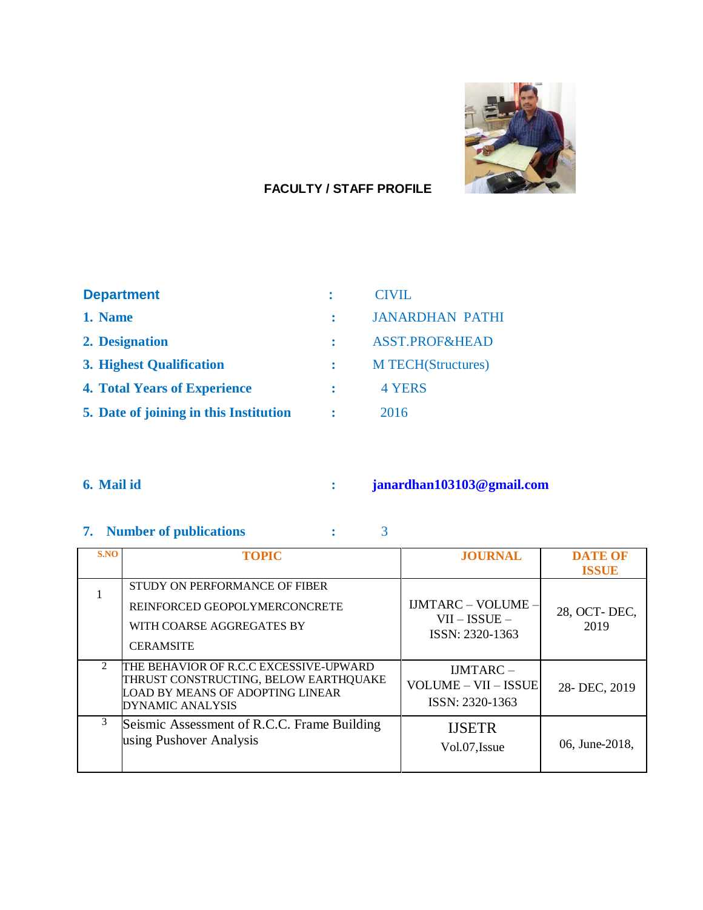

### **FACULTY / STAFF PROFILE**

| <b>Department</b>                      | CIVIL                     |
|----------------------------------------|---------------------------|
| 1. Name                                | <b>JANARDHAN PATHI</b>    |
| 2. Designation                         | <b>ASST.PROF&amp;HEAD</b> |
| <b>3. Highest Qualification</b>        | <b>M TECH(Structures)</b> |
| <b>4. Total Years of Experience</b>    | 4 YERS                    |
| 5. Date of joining in this Institution | 2016                      |

# **6. Mail id : [janardhan103103@gmail.com](mailto:janardhan103103@gmail.com)**

# **7. Number of publications :** 3

| S.NO | <b>TOPIC</b>                                                                                                                            | <b>JOURNAL</b>                                                  | <b>DATE OF</b>       |
|------|-----------------------------------------------------------------------------------------------------------------------------------------|-----------------------------------------------------------------|----------------------|
|      |                                                                                                                                         |                                                                 | <b>ISSUE</b>         |
|      | STUDY ON PERFORMANCE OF FIBER<br>REINFORCED GEOPOLYMERCONCRETE<br>WITH COARSE AGGREGATES BY<br><b>CERAMSITE</b>                         | <b>IJMTARC - VOLUME -</b><br>$VII - ISSUE -$<br>ISSN: 2320-1363 | 28, OCT-DEC,<br>2019 |
| 2    | THE BEHAVIOR OF R.C.C EXCESSIVE-UPWARD<br>THRUST CONSTRUCTING, BELOW EARTHQUAKE<br>LOAD BY MEANS OF ADOPTING LINEAR<br>DYNAMIC ANALYSIS | $IJMTARC -$<br>VOLUME - VII - ISSUE<br>ISSN: 2320-1363          | 28-DEC, 2019         |
| 3    | Seismic Assessment of R.C.C. Frame Building<br>using Pushover Analysis                                                                  | <b>IJSETR</b><br>Vol.07, Issue                                  | 06, June-2018,       |